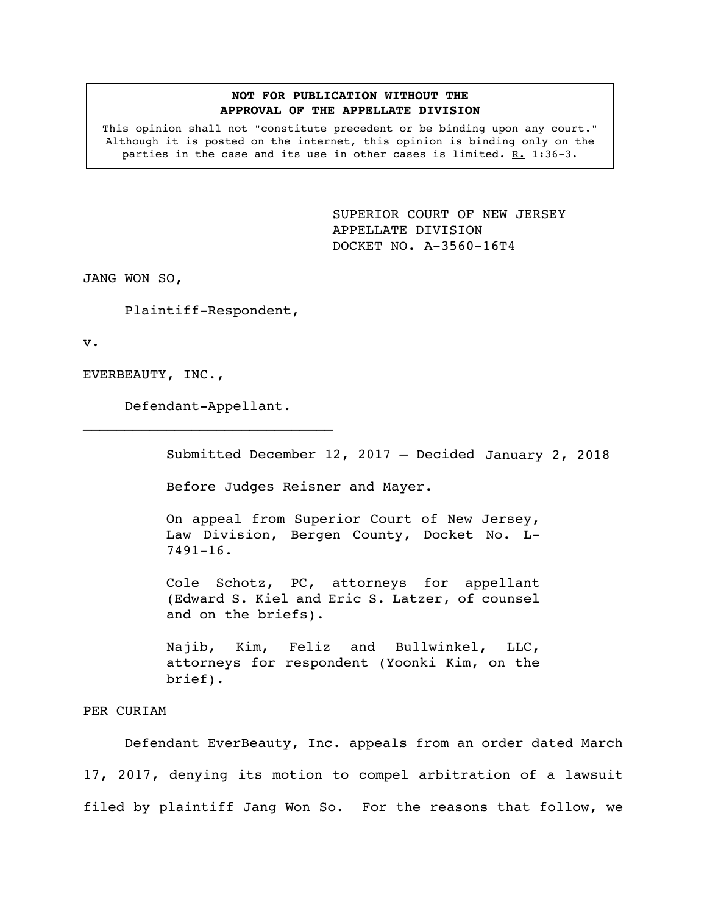## **NOT FOR PUBLICATION WITHOUT THE APPROVAL OF THE APPELLATE DIVISION**

This opinion shall not "constitute precedent or be binding upon any court." Although it is posted on the internet, this opinion is binding only on the parties in the case and its use in other cases is limited. R. 1:36-3.

> <span id="page-0-0"></span>SUPERIOR COURT OF NEW JERSEY APPELLATE DIVISION DOCKET NO. A-3560-16T4

JANG WON SO,

Plaintiff-Respondent,

v.

EVERBEAUTY, INC.,

Defendant-Appellant.  $\mathcal{L}_\text{max}$ 

Submitted December 12, 2017 – Decided January 2, 2018

Before Judges Reisner and Mayer.

On appeal from Superior Court of New Jersey, Law Division, Bergen County, Docket No. L-7491-16.

Cole Schotz, PC, attorneys for appellant (Edward S. Kiel and Eric S. Latzer, of counsel and on the briefs).

Najib, Kim, Feliz and Bullwinkel, LLC, attorneys for respondent (Yoonki Kim, on the brief).

## PER CURIAM

Defendant EverBeauty, Inc. appeals from an order dated March 17, 2017, denying its motion to compel arbitration of a lawsuit filed by plaintiff Jang Won So. For the reasons that follow, we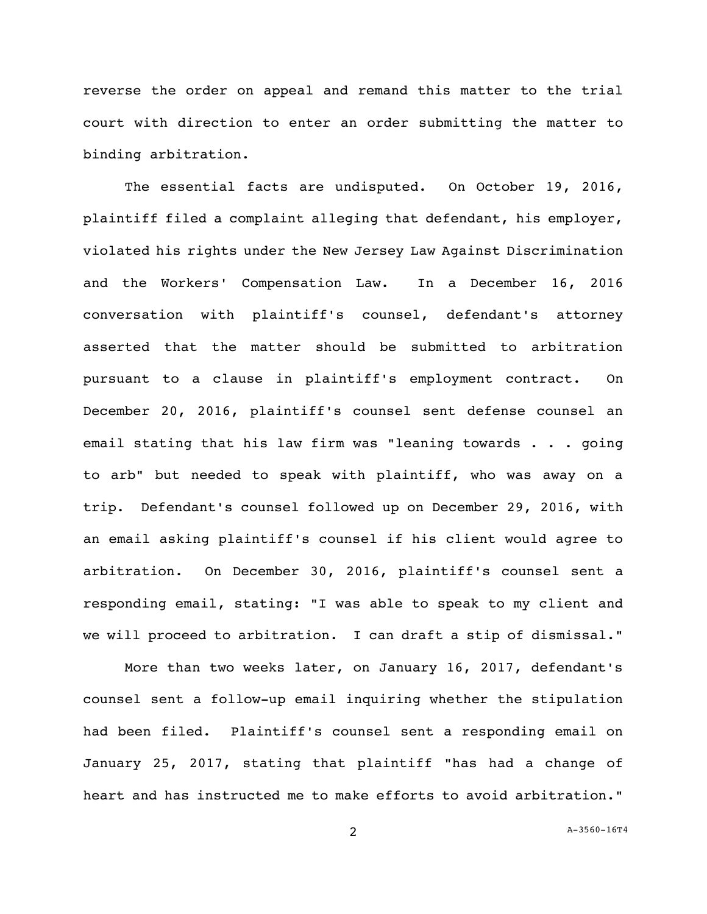reverse the order on appeal and remand this matter to the trial court with direction to enter an order submitting the matter to binding arbitration.

The essential facts are undisputed. On October 19, 2016, plaintiff filed a complaint alleging that defendant, his employer, violated his rights under the New Jersey Law Against Discrimination and the Workers' Compensation Law. In a December 16, 2016 conversation with plaintiff's counsel, defendant's attorney asserted that the matter should be submitted to arbitration pursuant to a clause in plaintiff's employment contract. On December 20, 2016, plaintiff's counsel sent defense counsel an email stating that his law firm was "leaning towards . . . going to arb" but needed to speak with plaintiff, who was away on a trip. Defendant's counsel followed up on December 29, 2016, with an email asking plaintiff's counsel if his client would agree to arbitration. On December 30, 2016, plaintiff's counsel sent a responding email, stating: "I was able to speak to my client and we will proceed to arbitration. I can draft a stip of dismissal."

More than two weeks later, on January 16, 2017, defendant's counsel sent a follow-up email inquiring whether the stipulation had been filed. Plaintiff's counsel sent a responding email on January 25, 2017, stating that plaintiff "has had a change of heart and has instructed me to make efforts to avoid arbitration."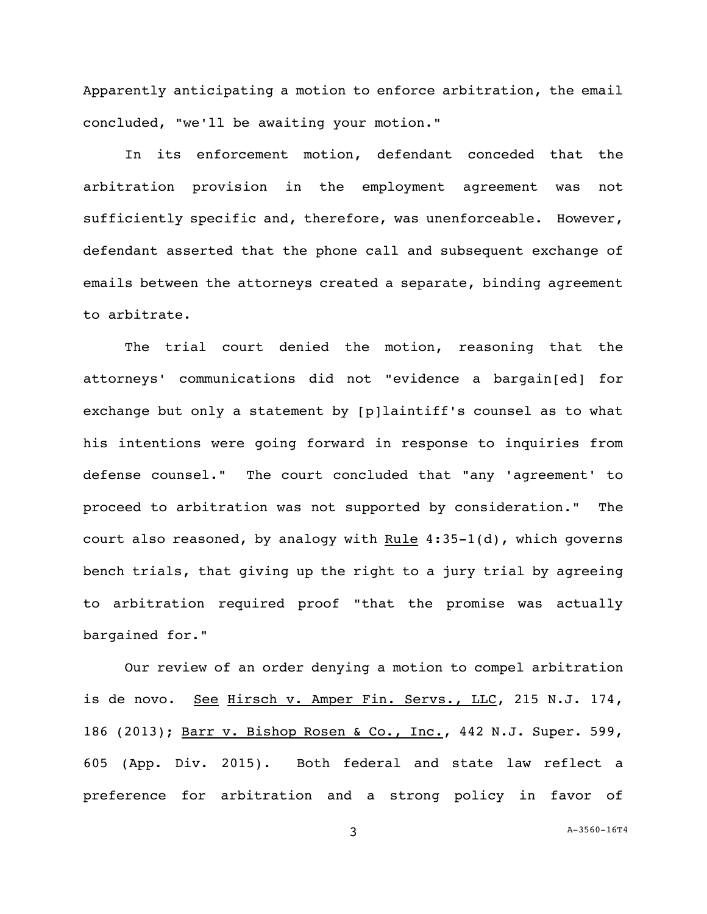Apparently anticipating a motion to enforce arbitration, the email concluded, "we'll be awaiting your motion."

In its enforcement motion, defendant conceded that the arbitration provision in the employment agreement was not sufficiently specific and, therefore, was unenforceable. However, defendant asserted that the phone call and subsequent exchange of emails between the attorneys created a separate, binding agreement to arbitrate.

The trial court denied the motion, reasoning that the attorneys' communications did not "evidence a bargain[ed] for exchange but only a statement by [p]laintiff's counsel as to what his intentions were going forward in response to inquiries from defense counsel." The court concluded that "any 'agreement' to proceed to arbitration was not supported by consideration." The court also reasoned, by analogy with Rule  $4:35-1(d)$ , which governs bench trials, that giving up the right to a jury trial by agreeing to arbitration required proof "that the promise was actually bargained for."

Our review of an order denying a motion to compel arbitration is de novo. See Hirsch v. Amper Fin. Servs., LLC, 215 N.J. 174, 186 (2013); Barr v. Bishop Rosen & Co., Inc., 442 N.J. Super. 599, 605 (App. Div. 2015). Both federal and state law reflect a preference for arbitration and a strong policy in favor of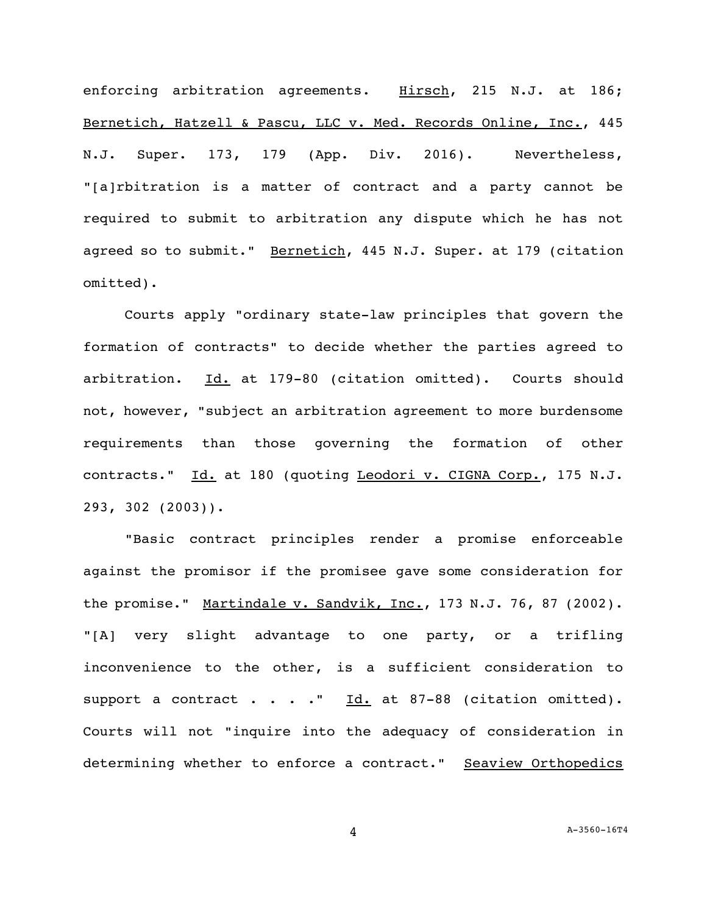enforcing arbitration agreements. Hirsch, 215 N.J. at 186; Bernetich, Hatzell & Pascu, LLC v. Med. Records Online, Inc., 445 N.J. Super. 173, 179 (App. Div. 2016). Nevertheless, "[a]rbitration is a matter of contract and a party cannot be required to submit to arbitration any dispute which he has not agreed so to submit." Bernetich, 445 N.J. Super. at 179 (citation omitted).

Courts apply "ordinary state-law principles that govern the formation of contracts" to decide whether the parties agreed to arbitration. Id. at 179-80 (citation omitted). Courts should not, however, "subject an arbitration agreement to more burdensome requirements than those governing the formation of other contracts." Id. at 180 (quoting Leodori v. CIGNA Corp., 175 N.J. 293, 302 (2003)).

"Basic contract principles render a promise enforceable against the promisor if the promisee gave some consideration for the promise." Martindale v. Sandvik, Inc., 173 N.J. 76, 87 (2002). "[A] very slight advantage to one party, or a trifling inconvenience to the other, is a sufficient consideration to support a contract . . . .  $\underline{\text{Id.}}$  at 87-88 (citation omitted). Courts will not "inquire into the adequacy of consideration in determining whether to enforce a contract." Seaview Orthopedics

4 A[-3560-16T4](#page-0-0)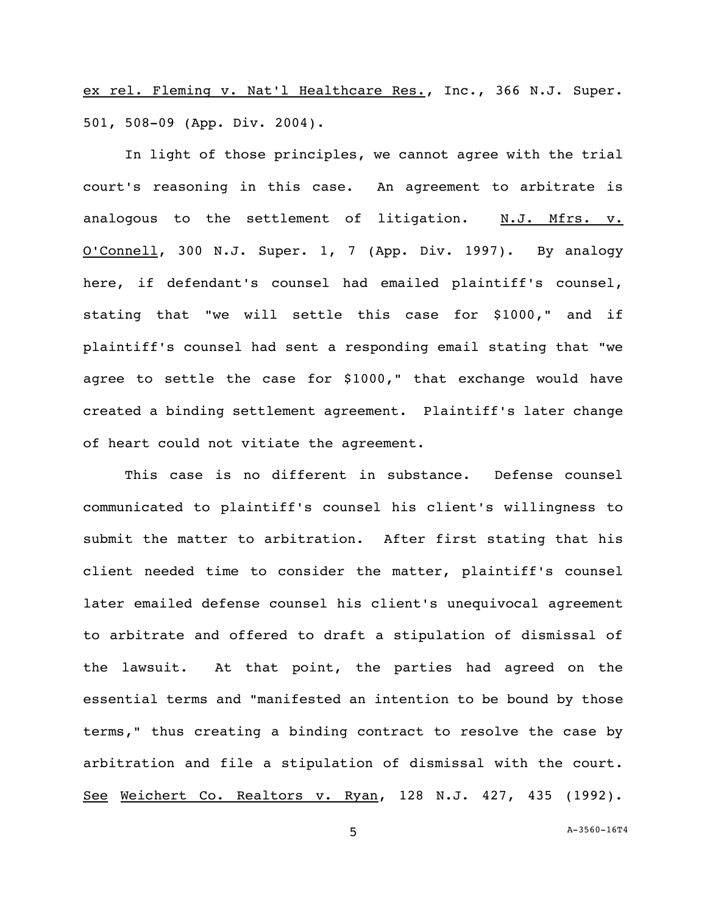ex rel. Fleming v. Nat'l Healthcare Res., Inc., 366 N.J. Super. 501, 508-09 (App. Div. 2004).

In light of those principles, we cannot agree with the trial court's reasoning in this case. An agreement to arbitrate is analogous to the settlement of litigation. N.J. Mfrs. v. O'Connell, 300 N.J. Super. 1, 7 (App. Div. 1997). By analogy here, if defendant's counsel had emailed plaintiff's counsel, stating that "we will settle this case for \$1000," and if plaintiff's counsel had sent a responding email stating that "we agree to settle the case for \$1000," that exchange would have created a binding settlement agreement. Plaintiff's later change of heart could not vitiate the agreement.

This case is no different in substance. Defense counsel communicated to plaintiff's counsel his client's willingness to submit the matter to arbitration. After first stating that his client needed time to consider the matter, plaintiff's counsel later emailed defense counsel his client's unequivocal agreement to arbitrate and offered to draft a stipulation of dismissal of the lawsuit. At that point, the parties had agreed on the essential terms and "manifested an intention to be bound by those terms," thus creating a binding contract to resolve the case by arbitration and file a stipulation of dismissal with the court. See Weichert Co. Realtors v. Ryan, 128 N.J. 427, 435 (1992).